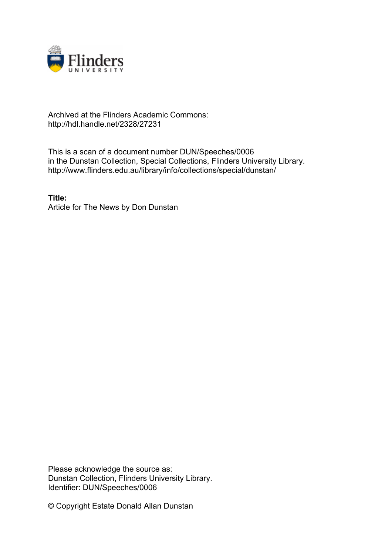

## Archived at the Flinders Academic Commons: http://hdl.handle.net/2328/27231

This is a scan of a document number DUN/Speeches/0006 in the Dunstan Collection, Special Collections, Flinders University Library. http://www.flinders.edu.au/library/info/collections/special/dunstan/

**Title:** Article for The News by Don Dunstan

Please acknowledge the source as: Dunstan Collection, Flinders University Library. Identifier: DUN/Speeches/0006

© Copyright Estate Donald Allan Dunstan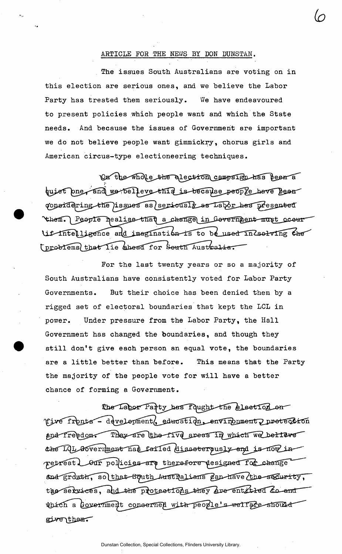## ARTICLE FOR THE NEWS BY DON DUNSTAN.

*(o* 

The issues South Australians are voting on in this election are serious ones, and we believe the Labor Party has treated them seriously. We have endeavoured to present policies which people want and which the State needs. And because the issues of Government are important we do not believe people want gimmickry, chorus girls and American circus-type electioneering techniques.

On the whole the alection campaign has been a<br>huiet pne, and we belleve this is because people have been considering the issues as seriously as Labor has presented them. People healise that a change in Government must occur diffuligance and imagination is to be used in Csolving the (problems) that lie ahead for South Australia.

For the last twenty years or so a majority of South Australians have consistently voted for Labor Party Governments. But their choice has been denied them by a rigged set of electoral boundaries that kept the LCL in power. Under pressure from the Labor Party, the Hall Government has changed the boundaries, and though they still don't give each person an equal vote, the boundaries are a little better than before. This means that the Party the majority of the people vote for will have a better chance of forming a Government.

The Labor Party has fought the election on Tive fronts - development, education, environment pretection and freedom. They are the five areas in which we bettere the LOL Government has failed disasterously and is now in retreat. Our policies are therefore designed for change and growth, so that sputh Australians Can have the socurity, the services, and the protections they are entitled do and which a covernment concerned with people's well are should give them.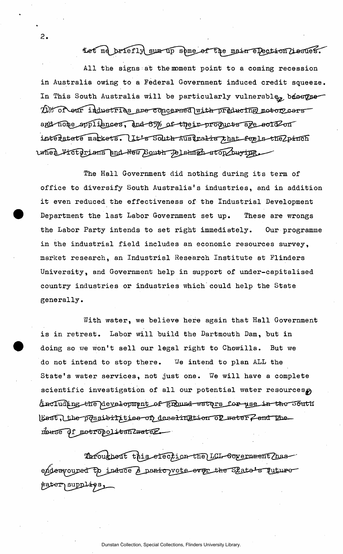Let me briefly sum up some of the main election lissues.

All the signs at the moment point to a coming recession in Australia owing to a Federal Government induced credit squeeze. In This South Australia will be particularly vulnerable<sub>t</sub> because Dy of our industries are concerned with preducing motor cars and nome appliances, and 85% of their products are sold on interlated markets. It's South Australia that feels the 2pinch uner Fictorians and New Bouth Pelshmen stop buring

 $\overline{2}$ .

The Hall Government did nothing during its term of office to diversify South Australia's industries, and in addition it even reduced the effectiveness of the Industrial Development Department the last Labor Government set up. These are wrongs the Labor Party intends to set right immediately. Our programme in the industrial field includes an economic resources survey, market research, an Industrial Research Institute at Flinders University, and Government help in support of under-capitalised country industries or industries which could help the State generally.

With water, we believe here again that Hall Government is in retreat. Labor will build the Dartmouth Dam, but in doing so we won't sell our legal right to Chowilla. But we do not intend to stop there. **V**/e intend to plan ALL the State's water services, not just one. We will have a complete scientific investigation of all our potential water resources (including the development of ground waters for use in the South Last, the possibilities of desalingtion of water Z and the neuse di metropolitan Zwatez

Throughout this efection the LCL covernment has endeavoured to induce a panic vote ever the Satte's juture Mater supplies,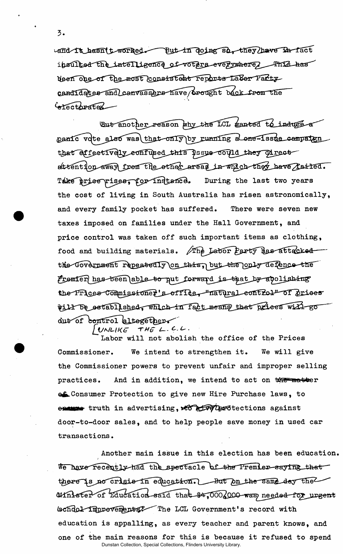3.

 $L$ and it hasn't worked But in Ooing so, they have  $L$  fact insulted the intelligence of voters everywhere, This has deen one of the most consistent reports Laber Party candidates and canvassers have brought back from the  $\sim$ *<u>Crectorated</u>* 

But another reason why the LCL wanted to induce a panic vote also was that only by running a cone-issue campaign that effectively confused this issue could they direct attention away from the other areas in which they have failed. Take price pises, for instance. During the last two years the cost of living in South Australia has risen astronomically, and every family pocket has suffered. There were seven new taxes imposed on families under the Hall Government, and price control was taken off such important items as clothing, food and building materials. The Labor Party has attacked the Government repeatedly on this, but the only defence the Fromter has been able to put forward is that by abolishing the Prices Commissioner's office, "natural control" of prices will be established, which in fact means that prices will go dut of control altegether

 $UNLIKE$  THE  $L$ -C.L.

Labor will not abolish the office of the Prices Commissioner. We intend to strengthen it. We will give the Commissioner powers to prevent unfair and improper selling practices. And in addition, we intend to act on  $\frac{1}{N}$  matter .Consumer Protection to give new Hire Purchase laws, to truth in advertising, ^J^fe^^Z^Stections against door-to-door sales, and to help people save money in used car transactions.

Another main issue in this election has been education. We have recently had the spectacle of the Premier saying that there is no crisis in education. But on the same day the Minister of Education—said that  $#4,000$  000 was needed for urgent ischdol improvements? The LCL Government's record with education is appalling, as every teacher and parent knows, and one of the main reasons for this is because it refused to spend Dunstan Collection, Special Collections, Flinders University Library.